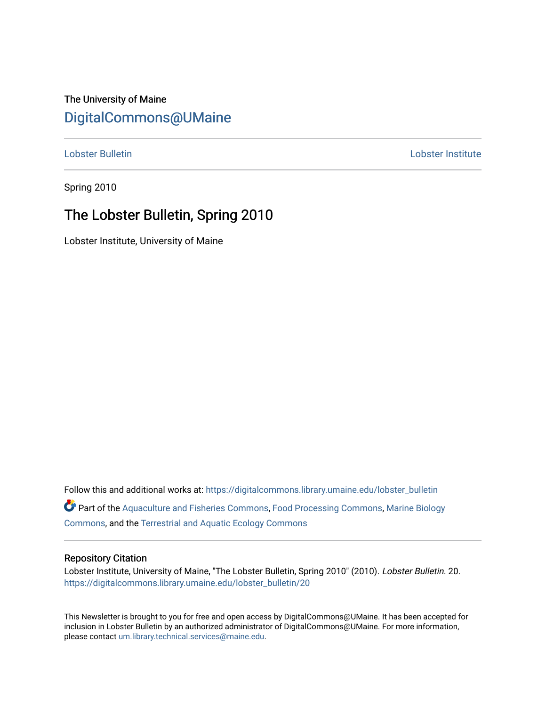## The University of Maine [DigitalCommons@UMaine](https://digitalcommons.library.umaine.edu/)

[Lobster Bulletin](https://digitalcommons.library.umaine.edu/lobster_bulletin) [Lobster Institute](https://digitalcommons.library.umaine.edu/lobster) 

Spring 2010

## The Lobster Bulletin, Spring 2010

Lobster Institute, University of Maine

Follow this and additional works at: [https://digitalcommons.library.umaine.edu/lobster\\_bulletin](https://digitalcommons.library.umaine.edu/lobster_bulletin?utm_source=digitalcommons.library.umaine.edu%2Flobster_bulletin%2F20&utm_medium=PDF&utm_campaign=PDFCoverPages) Part of the [Aquaculture and Fisheries Commons](http://network.bepress.com/hgg/discipline/78?utm_source=digitalcommons.library.umaine.edu%2Flobster_bulletin%2F20&utm_medium=PDF&utm_campaign=PDFCoverPages), [Food Processing Commons,](http://network.bepress.com/hgg/discipline/85?utm_source=digitalcommons.library.umaine.edu%2Flobster_bulletin%2F20&utm_medium=PDF&utm_campaign=PDFCoverPages) [Marine Biology](http://network.bepress.com/hgg/discipline/1126?utm_source=digitalcommons.library.umaine.edu%2Flobster_bulletin%2F20&utm_medium=PDF&utm_campaign=PDFCoverPages) [Commons](http://network.bepress.com/hgg/discipline/1126?utm_source=digitalcommons.library.umaine.edu%2Flobster_bulletin%2F20&utm_medium=PDF&utm_campaign=PDFCoverPages), and the [Terrestrial and Aquatic Ecology Commons](http://network.bepress.com/hgg/discipline/20?utm_source=digitalcommons.library.umaine.edu%2Flobster_bulletin%2F20&utm_medium=PDF&utm_campaign=PDFCoverPages) 

#### Repository Citation

Lobster Institute, University of Maine, "The Lobster Bulletin, Spring 2010" (2010). Lobster Bulletin. 20. [https://digitalcommons.library.umaine.edu/lobster\\_bulletin/20](https://digitalcommons.library.umaine.edu/lobster_bulletin/20?utm_source=digitalcommons.library.umaine.edu%2Flobster_bulletin%2F20&utm_medium=PDF&utm_campaign=PDFCoverPages) 

This Newsletter is brought to you for free and open access by DigitalCommons@UMaine. It has been accepted for inclusion in Lobster Bulletin by an authorized administrator of DigitalCommons@UMaine. For more information, please contact [um.library.technical.services@maine.edu.](mailto:um.library.technical.services@maine.edu)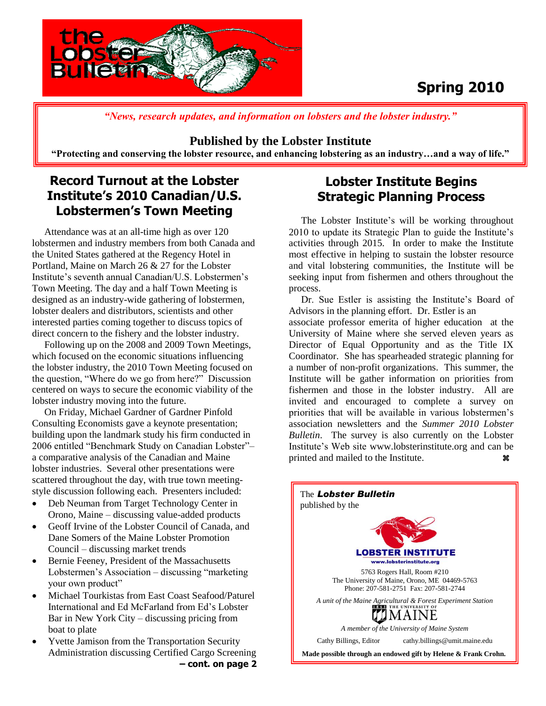

# **Spring 2010**

*"News, research updates, and information on lobsters and the lobster industry."*

### **Published by the Lobster Institute**

**"Protecting and conserving the lobster resource, and enhancing lobstering as an industry…and a way of life."**

## **Record Turnout at the Lobster Institute's 2010 Canadian/U.S. Lobstermen's Town Meeting**

 Attendance was at an all-time high as over 120 lobstermen and industry members from both Canada and the United States gathered at the Regency Hotel in Portland, Maine on March 26 & 27 for the Lobster Institute's seventh annual Canadian/U.S. Lobstermen's Town Meeting. The day and a half Town Meeting is designed as an industry-wide gathering of lobstermen, lobster dealers and distributors, scientists and other interested parties coming together to discuss topics of direct concern to the fishery and the lobster industry.

 Following up on the 2008 and 2009 Town Meetings, which focused on the economic situations influencing the lobster industry, the 2010 Town Meeting focused on the question, "Where do we go from here?" Discussion centered on ways to secure the economic viability of the lobster industry moving into the future.

 On Friday, Michael Gardner of Gardner Pinfold Consulting Economists gave a keynote presentation; building upon the landmark study his firm conducted in 2006 entitled "Benchmark Study on Canadian Lobster"– a comparative analysis of the Canadian and Maine lobster industries. Several other presentations were scattered throughout the day, with true town meetingstyle discussion following each. Presenters included:

- Deb Neuman from Target Technology Center in Orono, Maine – discussing value-added products
- Geoff Irvine of the Lobster Council of Canada, and Dane Somers of the Maine Lobster Promotion Council – discussing market trends
- Bernie Feeney, President of the Massachusetts Lobstermen's Association – discussing "marketing your own product"
- Michael Tourkistas from East Coast Seafood/Paturel International and Ed McFarland from Ed's Lobster Bar in New York City – discussing pricing from boat to plate
- Yvette Jamison from the Transportation Security Administration discussing Certified Cargo Screening **– cont. on page 2**

## **Lobster Institute Begins Strategic Planning Process**

 The Lobster Institute's will be working throughout 2010 to update its Strategic Plan to guide the Institute's activities through 2015. In order to make the Institute most effective in helping to sustain the lobster resource and vital lobstering communities, the Institute will be seeking input from fishermen and others throughout the process.

 Dr. Sue Estler is assisting the Institute's Board of Advisors in the planning effort. Dr. Estler is an

associate professor emerita of higher education at the University of Maine where she served eleven years as Director of Equal Opportunity and as the Title IX Coordinator. She has spearheaded strategic planning for a number of non-profit organizations. This summer, the Institute will be gather information on priorities from fishermen and those in the lobster industry. All are invited and encouraged to complete a survey on priorities that will be available in various lobstermen's association newsletters and the *Summer 2010 Lobster Bulletin*. The survey is also currently on the Lobster Institute's Web site www.lobsterinstitute.org and can be printed and mailed to the Institute.

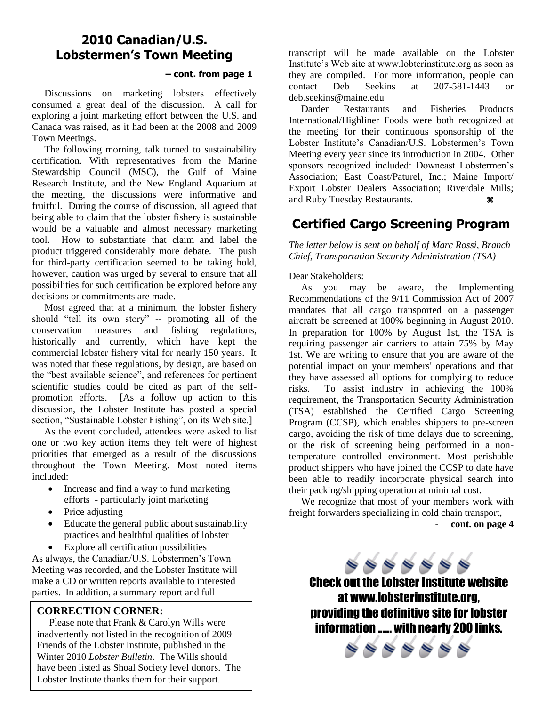### **2010 Canadian/U.S. Lobstermen's Town Meeting**

#### **– cont. from page 1**

 Discussions on marketing lobsters effectively consumed a great deal of the discussion. A call for exploring a joint marketing effort between the U.S. and Canada was raised, as it had been at the 2008 and 2009 Town Meetings.

 The following morning, talk turned to sustainability certification. With representatives from the Marine Stewardship Council (MSC), the Gulf of Maine Research Institute, and the New England Aquarium at the meeting, the discussions were informative and fruitful. During the course of discussion, all agreed that being able to claim that the lobster fishery is sustainable would be a valuable and almost necessary marketing tool. How to substantiate that claim and label the product triggered considerably more debate. The push for third-party certification seemed to be taking hold, however, caution was urged by several to ensure that all possibilities for such certification be explored before any decisions or commitments are made.

 Most agreed that at a minimum, the lobster fishery should "tell its own story" -- promoting all of the conservation measures and fishing regulations, historically and currently, which have kept the commercial lobster fishery vital for nearly 150 years. It was noted that these regulations, by design, are based on the "best available science", and references for pertinent scientific studies could be cited as part of the selfpromotion efforts. [As a follow up action to this discussion, the Lobster Institute has posted a special section, "Sustainable Lobster Fishing", on its Web site.]

 As the event concluded, attendees were asked to list one or two key action items they felt were of highest priorities that emerged as a result of the discussions throughout the Town Meeting. Most noted items included:

- Increase and find a way to fund marketing efforts - particularly joint marketing
- Price adjusting
- Educate the general public about sustainability practices and healthful qualities of lobster
- Explore all certification possibilities

As always, the Canadian/U.S. Lobstermen's Town Meeting was recorded, and the Lobster Institute will make a CD or written reports available to interested parties. In addition, a summary report and full

#### **CORRECTION CORNER:**

 Please note that Frank & Carolyn Wills were inadvertently not listed in the recognition of 2009 Friends of the Lobster Institute, published in the Winter 2010 *Lobster Bulletin*. The Wills should have been listed as Shoal Society level donors. The Lobster Institute thanks them for their support.

transcript will be made available on the Lobster Institute's Web site at www.lobterinstitute.org as soon as they are compiled. For more information, people can contact Deb Seekins at 207-581-1443 or deb.seekins@maine.edu

 Darden Restaurants and Fisheries Products International/Highliner Foods were both recognized at the meeting for their continuous sponsorship of the Lobster Institute's Canadian/U.S. Lobstermen's Town Meeting every year since its introduction in 2004. Other sponsors recognized included: Downeast Lobstermen's Association; East Coast/Paturel, Inc.; Maine Import/ Export Lobster Dealers Association; Riverdale Mills; and Ruby Tuesday Restaurants.

### **Certified Cargo Screening Program**

*The letter below is sent on behalf of Marc Rossi, Branch Chief, Transportation Security Administration (TSA)*

Dear Stakeholders:

 As you may be aware, the Implementing Recommendations of the 9/11 Commission Act of 2007 mandates that all cargo transported on a passenger aircraft be screened at 100% beginning in August 2010. In preparation for 100% by August 1st, the TSA is requiring passenger air carriers to attain 75% by May 1st. We are writing to ensure that you are aware of the potential impact on your members' operations and that they have assessed all options for complying to reduce risks. To assist industry in achieving the 100% requirement, the Transportation Security Administration (TSA) established the Certified Cargo Screening Program (CCSP), which enables shippers to pre-screen cargo, avoiding the risk of time delays due to screening, or the risk of screening being performed in a nontemperature controlled environment. Most perishable product shippers who have joined the CCSP to date have been able to readily incorporate physical search into their packing/shipping operation at minimal cost.

 We recognize that most of your members work with freight forwarders specializing in cold chain transport,

- **cont. on page 4**

 $\Rightarrow \Rightarrow \Rightarrow \Rightarrow \Rightarrow$ 

Check out the Lobster Institute website at [www.lobsterinstitute.org,](http://www.lobsterinstitute.org/) providing the definitive site for lobster information …… with nearly 200 links.

 $\bullet\bullet\bullet\bullet\bullet\bullet\bullet\bullet$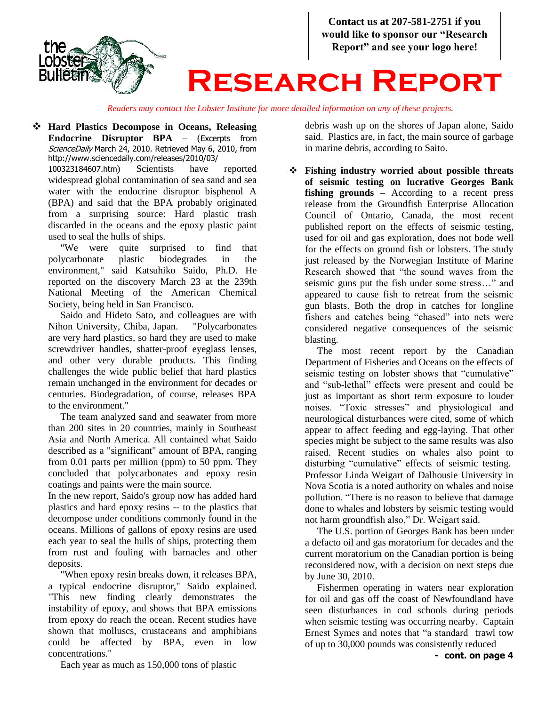

*Readers may contact the Lobster Institute for more detailed information on any of these projects.*

 **Hard Plastics Decompose in Oceans, Releasing Endocrine Disruptor BPA** – (Excerpts from ScienceDaily March 24, 2010. Retrieved May 6, 2010, from http://www.sciencedaily.com/releases/2010/03/

100323184607.htm) Scientists have reported widespread global contamination of sea sand and sea water with the endocrine disruptor bisphenol A (BPA) and said that the BPA probably originated from a surprising source: Hard plastic trash discarded in the oceans and the epoxy plastic paint used to seal the hulls of ships.

 "We were quite surprised to find that polycarbonate plastic biodegrades in the environment," said Katsuhiko Saido, Ph.D. He reported on the discovery March 23 at the 239th National Meeting of the American Chemical Society, being held in San Francisco.

 Saido and Hideto Sato, and colleagues are with Nihon University, Chiba, Japan. "Polycarbonates are very hard plastics, so hard they are used to make screwdriver handles, shatter-proof eyeglass lenses, and other very durable products. This finding challenges the wide public belief that hard plastics remain unchanged in the environment for decades or centuries. Biodegradation, of course, releases BPA to the environment."

 The team analyzed sand and seawater from more than 200 sites in 20 countries, mainly in Southeast Asia and North America. All contained what Saido described as a "significant" amount of BPA, ranging from 0.01 parts per million (ppm) to 50 ppm. They concluded that polycarbonates and epoxy resin coatings and paints were the main source.

In the new report, Saido's group now has added hard plastics and hard epoxy resins -- to the plastics that decompose under conditions commonly found in the oceans. Millions of gallons of epoxy resins are used each year to seal the hulls of ships, protecting them from rust and fouling with barnacles and other deposits.

 "When epoxy resin breaks down, it releases BPA, a typical endocrine disruptor," Saido explained. "This new finding clearly demonstrates the instability of epoxy, and shows that BPA emissions from epoxy do reach the ocean. Recent studies have shown that molluscs, crustaceans and amphibians could be affected by BPA, even in low concentrations."

debris wash up on the shores of Japan alone, Saido said. Plastics are, in fact, the main source of garbage in marine debris, according to Saito.

 **Fishing industry worried about possible threats of seismic testing on lucrative Georges Bank fishing grounds –** According to a recent press release from the Groundfish Enterprise Allocation Council of Ontario, Canada, the most recent published report on the effects of seismic testing, used for oil and gas exploration, does not bode well for the effects on ground fish or lobsters. The study just released by the Norwegian Institute of Marine Research showed that "the sound waves from the seismic guns put the fish under some stress…" and appeared to cause fish to retreat from the seismic gun blasts. Both the drop in catches for longline fishers and catches being "chased" into nets were considered negative consequences of the seismic blasting.

 The most recent report by the Canadian Department of Fisheries and Oceans on the effects of seismic testing on lobster shows that "cumulative" and "sub-lethal" effects were present and could be just as important as short term exposure to louder noises. "Toxic stresses" and physiological and neurological disturbances were cited, some of which appear to affect feeding and egg-laying. That other species might be subject to the same results was also raised. Recent studies on whales also point to disturbing "cumulative" effects of seismic testing. Professor Linda Weigart of Dalhousie University in Nova Scotia is a noted authority on whales and noise pollution. "There is no reason to believe that damage done to whales and lobsters by seismic testing would not harm groundfish also," Dr. Weigart said.

 The U.S. portion of Georges Bank has been under a defacto oil and gas moratorium for decades and the current moratorium on the Canadian portion is being reconsidered now, with a decision on next steps due by June 30, 2010.

 Fishermen operating in waters near exploration for oil and gas off the coast of Newfoundland have seen disturbances in cod schools during periods when seismic testing was occurring nearby. Captain Ernest Symes and notes that "a standard trawl tow of up to 30,000 pounds was consistently reduced

Each year as much as 150,000 tons of plastic